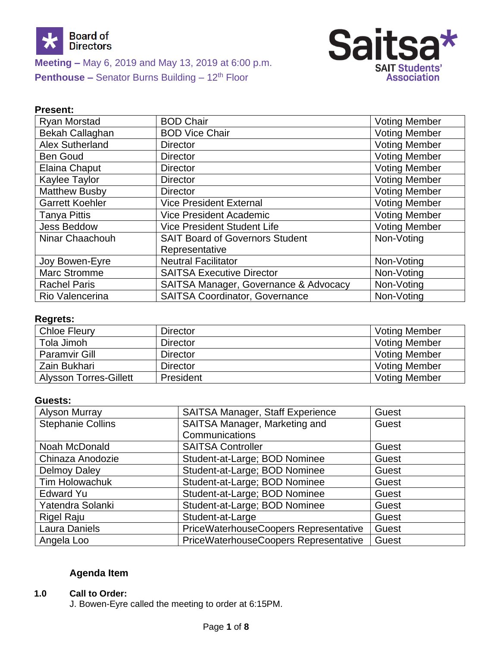



## **Present:**

| Ryan Morstad           | <b>BOD Chair</b>                       | <b>Voting Member</b> |
|------------------------|----------------------------------------|----------------------|
| <b>Bekah Callaghan</b> | <b>BOD Vice Chair</b>                  | <b>Voting Member</b> |
| Alex Sutherland        | <b>Director</b>                        | <b>Voting Member</b> |
| <b>Ben Goud</b>        | <b>Director</b>                        | <b>Voting Member</b> |
| <b>Elaina Chaput</b>   | <b>Director</b>                        | <b>Voting Member</b> |
| Kaylee Taylor          | <b>Director</b>                        | <b>Voting Member</b> |
| <b>Matthew Busby</b>   | <b>Director</b>                        | <b>Voting Member</b> |
| <b>Garrett Koehler</b> | <b>Vice President External</b>         | <b>Voting Member</b> |
| <b>Tanya Pittis</b>    | <b>Vice President Academic</b>         | <b>Voting Member</b> |
| <b>Jess Beddow</b>     | <b>Vice President Student Life</b>     | <b>Voting Member</b> |
| Ninar Chaachouh        | <b>SAIT Board of Governors Student</b> | Non-Voting           |
|                        | Representative                         |                      |
| Joy Bowen-Eyre         | <b>Neutral Facilitator</b>             | Non-Voting           |
| <b>Marc Stromme</b>    | <b>SAITSA Executive Director</b>       | Non-Voting           |
| <b>Rachel Paris</b>    | SAITSA Manager, Governance & Advocacy  | Non-Voting           |
| Rio Valencerina        | <b>SAITSA Coordinator, Governance</b>  | Non-Voting           |

## **Regrets:**

| <b>Chloe Fleury</b>           | <b>Director</b> | <b>Voting Member</b> |
|-------------------------------|-----------------|----------------------|
| Tola Jimoh                    | <b>Director</b> | <b>Voting Member</b> |
| <b>Paramvir Gill</b>          | <b>Director</b> | <b>Voting Member</b> |
| Zain Bukhari                  | <b>Director</b> | <b>Voting Member</b> |
| <b>Alysson Torres-Gillett</b> | President       | <b>Voting Member</b> |

## **Guests:**

| Alyson Murray            | SAITSA Manager, Staff Experience      | Guest |
|--------------------------|---------------------------------------|-------|
| <b>Stephanie Collins</b> | SAITSA Manager, Marketing and         | Guest |
|                          | Communications                        |       |
| Noah McDonald            | <b>SAITSA Controller</b>              | Guest |
| Chinaza Anodozie         | Student-at-Large; BOD Nominee         | Guest |
| <b>Delmoy Daley</b>      | Student-at-Large; BOD Nominee         | Guest |
| <b>Tim Holowachuk</b>    | Student-at-Large; BOD Nominee         | Guest |
| <b>Edward Yu</b>         | Student-at-Large; BOD Nominee         | Guest |
| Yatendra Solanki         | Student-at-Large; BOD Nominee         | Guest |
| <b>Rigel Raju</b>        | Student-at-Large                      | Guest |
| Laura Daniels            | PriceWaterhouseCoopers Representative | Guest |
| Angela Loo               | PriceWaterhouseCoopers Representative | Guest |

# **Agenda Item**

## **1.0 Call to Order:**

J. Bowen-Eyre called the meeting to order at 6:15PM.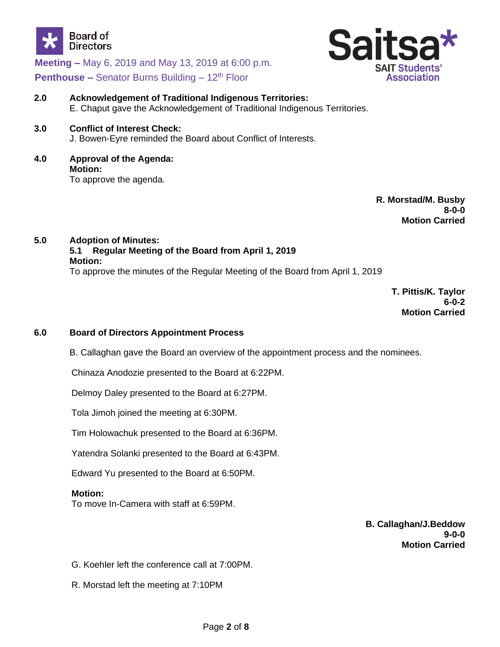



- **2.0 Acknowledgement of Traditional Indigenous Territories:** E. Chaput gave the Acknowledgement of Traditional Indigenous Territories.
- **3.0 Conflict of Interest Check:** J. Bowen-Eyre reminded the Board about Conflict of Interests.
- **4.0 Approval of the Agenda: Motion:** To approve the agenda.

**R. Morstad/M. Busby 8-0-0 Motion Carried**

**5.0 Adoption of Minutes: 5.1 Regular Meeting of the Board from April 1, 2019 Motion:**

To approve the minutes of the Regular Meeting of the Board from April 1, 2019

**T. Pittis/K. Taylor 6-0-2 Motion Carried**

## **6.0 Board of Directors Appointment Process**

B. Callaghan gave the Board an overview of the appointment process and the nominees.

Chinaza Anodozie presented to the Board at 6:22PM.

Delmoy Daley presented to the Board at 6:27PM.

Tola Jimoh joined the meeting at 6:30PM.

Tim Holowachuk presented to the Board at 6:36PM.

Yatendra Solanki presented to the Board at 6:43PM.

Edward Yu presented to the Board at 6:50PM.

### **Motion:**

To move In-Camera with staff at 6:59PM.

**B. Callaghan/J.Beddow 9-0-0 Motion Carried**

G. Koehler left the conference call at 7:00PM.

R. Morstad left the meeting at 7:10PM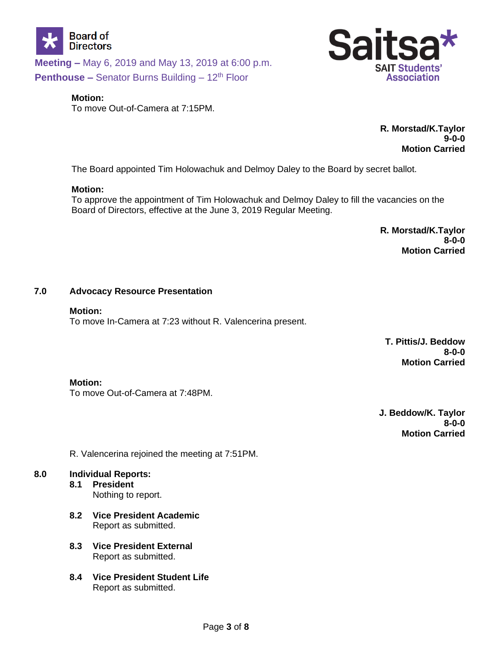



#### **Motion:**

To move Out-of-Camera at 7:15PM.

**R. Morstad/K.Taylor 9-0-0 Motion Carried**

The Board appointed Tim Holowachuk and Delmoy Daley to the Board by secret ballot.

#### **Motion:**

To approve the appointment of Tim Holowachuk and Delmoy Daley to fill the vacancies on the Board of Directors, effective at the June 3, 2019 Regular Meeting.

> **R. Morstad/K.Taylor 8-0-0 Motion Carried**

#### **7.0 Advocacy Resource Presentation**

#### **Motion:**

To move In-Camera at 7:23 without R. Valencerina present.

**T. Pittis/J. Beddow 8-0-0 Motion Carried**

### **Motion:**

To move Out-of-Camera at 7:48PM.

**J. Beddow/K. Taylor 8-0-0 Motion Carried**

R. Valencerina rejoined the meeting at 7:51PM.

### **8.0 Individual Reports:**

- **8.1 President** Nothing to report.
- **8.2 Vice President Academic** Report as submitted.
- **8.3 Vice President External** Report as submitted.
- **8.4 Vice President Student Life** Report as submitted.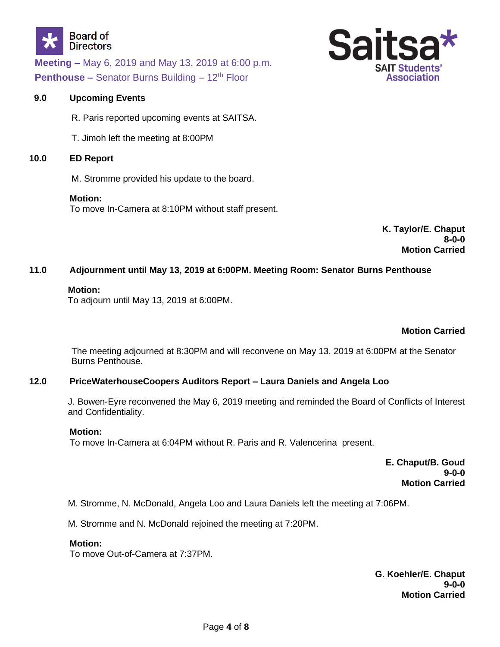



## **9.0 Upcoming Events**

R. Paris reported upcoming events at SAITSA.

T. Jimoh left the meeting at 8:00PM

### **10.0 ED Report**

M. Stromme provided his update to the board.

### **Motion:**

To move In-Camera at 8:10PM without staff present.

**K. Taylor/E. Chaput 8-0-0 Motion Carried**

## **11.0 Adjournment until May 13, 2019 at 6:00PM. Meeting Room: Senator Burns Penthouse**

### **Motion:**

To adjourn until May 13, 2019 at 6:00PM.

## **Motion Carried**

The meeting adjourned at 8:30PM and will reconvene on May 13, 2019 at 6:00PM at the Senator Burns Penthouse.

## **12.0 PriceWaterhouseCoopers Auditors Report – Laura Daniels and Angela Loo**

J. Bowen-Eyre reconvened the May 6, 2019 meeting and reminded the Board of Conflicts of Interest and Confidentiality.

## **Motion:**

To move In-Camera at 6:04PM without R. Paris and R. Valencerina present.

**E. Chaput/B. Goud 9-0-0 Motion Carried**

M. Stromme, N. McDonald, Angela Loo and Laura Daniels left the meeting at 7:06PM.

M. Stromme and N. McDonald rejoined the meeting at 7:20PM.

## **Motion:**

To move Out-of-Camera at 7:37PM.

**G. Koehler/E. Chaput 9-0-0 Motion Carried**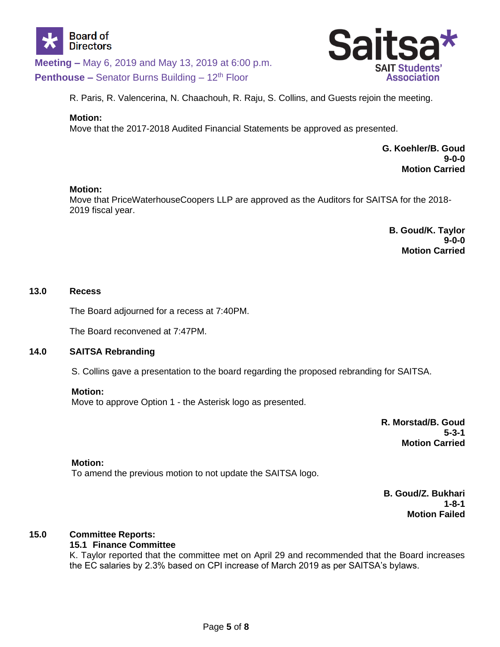



R. Paris, R. Valencerina, N. Chaachouh, R. Raju, S. Collins, and Guests rejoin the meeting.

### **Motion:**

Move that the 2017-2018 Audited Financial Statements be approved as presented.

**G. Koehler/B. Goud 9-0-0 Motion Carried**

### **Motion:**

Move that PriceWaterhouseCoopers LLP are approved as the Auditors for SAITSA for the 2018- 2019 fiscal year.

> **B. Goud/K. Taylor 9-0-0 Motion Carried**

### **13.0 Recess**

The Board adjourned for a recess at 7:40PM.

The Board reconvened at 7:47PM.

### **14.0 SAITSA Rebranding**

S. Collins gave a presentation to the board regarding the proposed rebranding for SAITSA.

#### **Motion:**

Move to approve Option 1 - the Asterisk logo as presented.

**R. Morstad/B. Goud 5-3-1 Motion Carried**

### **Motion:**

To amend the previous motion to not update the SAITSA logo.

**B. Goud/Z. Bukhari 1-8-1 Motion Failed**

### **15.0 Committee Reports:**

### **15.1 Finance Committee**

K. Taylor reported that the committee met on April 29 and recommended that the Board increases the EC salaries by 2.3% based on CPI increase of March 2019 as per SAITSA's bylaws.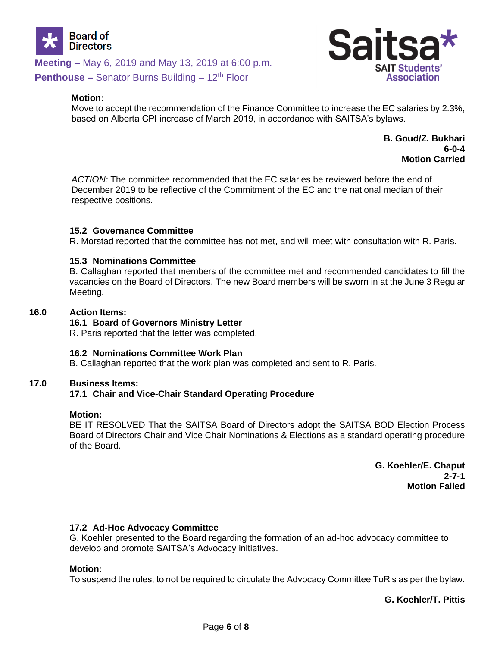

#### **Motion:**

Move to accept the recommendation of the Finance Committee to increase the EC salaries by 2.3%, based on Alberta CPI increase of March 2019, in accordance with SAITSA's bylaws.

> **B. Goud/Z. Bukhari 6-0-4 Motion Carried**

*ACTION:* The committee recommended that the EC salaries be reviewed before the end of December 2019 to be reflective of the Commitment of the EC and the national median of their respective positions.

### **15.2 Governance Committee**

R. Morstad reported that the committee has not met, and will meet with consultation with R. Paris.

#### **15.3 Nominations Committee**

B. Callaghan reported that members of the committee met and recommended candidates to fill the vacancies on the Board of Directors. The new Board members will be sworn in at the June 3 Regular Meeting.

#### **16.0 Action Items:**

#### **16.1 Board of Governors Ministry Letter**

R. Paris reported that the letter was completed.

#### **16.2 Nominations Committee Work Plan**

B. Callaghan reported that the work plan was completed and sent to R. Paris.

#### **17.0 Business Items:**

### **17.1 Chair and Vice-Chair Standard Operating Procedure**

#### **Motion:**

BE IT RESOLVED That the SAITSA Board of Directors adopt the SAITSA BOD Election Process Board of Directors Chair and Vice Chair Nominations & Elections as a standard operating procedure of the Board.

> **G. Koehler/E. Chaput 2-7-1 Motion Failed**

### **17.2 Ad-Hoc Advocacy Committee**

G. Koehler presented to the Board regarding the formation of an ad-hoc advocacy committee to develop and promote SAITSA's Advocacy initiatives.

#### **Motion:**

To suspend the rules, to not be required to circulate the Advocacy Committee ToR's as per the bylaw.

**G. Koehler/T. Pittis**

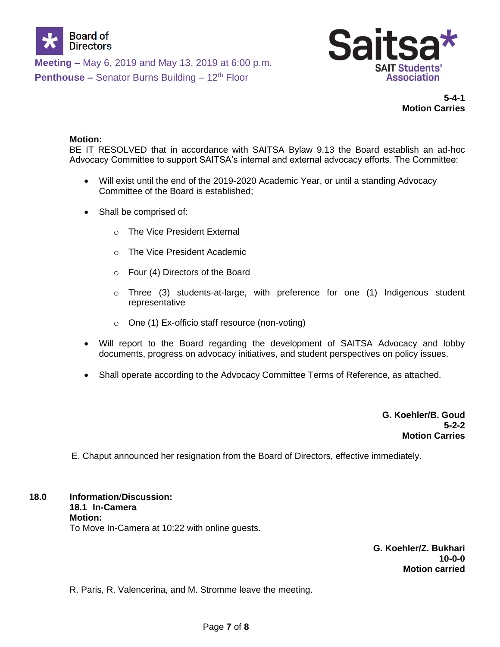



**5-4-1 Motion Carries**

### **Motion:**

BE IT RESOLVED that in accordance with SAITSA Bylaw 9.13 the Board establish an ad-hoc Advocacy Committee to support SAITSA's internal and external advocacy efforts. The Committee:

- Will exist until the end of the 2019-2020 Academic Year, or until a standing Advocacy Committee of the Board is established;
- Shall be comprised of:
	- o The Vice President External
	- o The Vice President Academic
	- o Four (4) Directors of the Board
	- o Three (3) students-at-large, with preference for one (1) Indigenous student representative
	- o One (1) Ex-officio staff resource (non-voting)
- Will report to the Board regarding the development of SAITSA Advocacy and lobby documents, progress on advocacy initiatives, and student perspectives on policy issues.
- Shall operate according to the Advocacy Committee Terms of Reference, as attached.

**G. Koehler/B. Goud 5-2-2 Motion Carries**

E. Chaput announced her resignation from the Board of Directors, effective immediately.

**18.0 Information**/**Discussion: 18.1 In-Camera Motion:** To Move In-Camera at 10:22 with online guests.

> **G. Koehler/Z. Bukhari 10-0-0 Motion carried**

R. Paris, R. Valencerina, and M. Stromme leave the meeting.